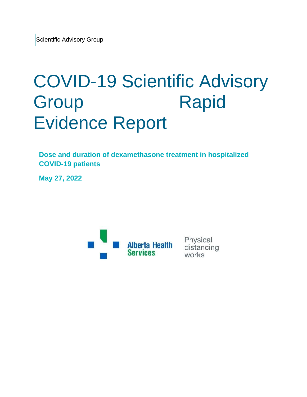# COVID-19 Scientific Advisory Group Rapid Evidence Report

**Dose and duration of dexamethasone treatment in hospitalized COVID-19 patients**

**May 27, 2022**



Physical distancing works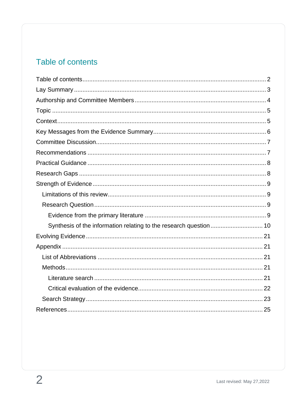# <span id="page-1-0"></span>Table of contents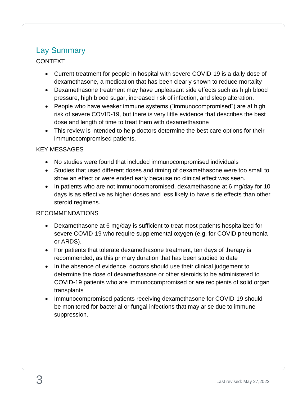# <span id="page-2-0"></span>Lay Summary

#### CONTEXT

- Current treatment for people in hospital with severe COVID-19 is a daily dose of dexamethasone, a medication that has been clearly shown to reduce mortality
- Dexamethasone treatment may have unpleasant side effects such as high blood pressure, high blood sugar, increased risk of infection, and sleep alteration.
- People who have weaker immune systems ("immunocompromised") are at high risk of severe COVID-19, but there is very little evidence that describes the best dose and length of time to treat them with dexamethasone
- This review is intended to help doctors determine the best care options for their immunocompromised patients.

#### KEY MESSAGES

- No studies were found that included immunocompromised individuals
- Studies that used different doses and timing of dexamethasone were too small to show an effect or were ended early because no clinical effect was seen.
- In patients who are not immunocompromised, dexamethasone at 6 mg/day for 10 days is as effective as higher doses and less likely to have side effects than other steroid regimens.

#### RECOMMENDATIONS

- Dexamethasone at 6 mg/day is sufficient to treat most patients hospitalized for severe COVID-19 who require supplemental oxygen (e.g. for COVID pneumonia or ARDS).
- For patients that tolerate dexamethasone treatment, ten days of therapy is recommended, as this primary duration that has been studied to date
- In the absence of evidence, doctors should use their clinical judgement to determine the dose of dexamethasone or other steroids to be administered to COVID-19 patients who are immunocompromised or are recipients of solid organ transplants
- Immunocompromised patients receiving dexamethasone for COVID-19 should be monitored for bacterial or fungal infections that may arise due to immune suppression.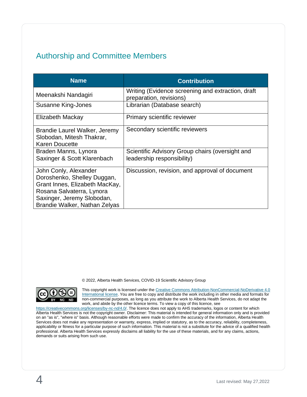# <span id="page-3-0"></span>Authorship and Committee Members

| <b>Name</b>                                                                                                                                                                        | <b>Contribution</b>                                                           |
|------------------------------------------------------------------------------------------------------------------------------------------------------------------------------------|-------------------------------------------------------------------------------|
| Meenakshi Nandagiri                                                                                                                                                                | Writing (Evidence screening and extraction, draft<br>preparation, revisions)  |
| Susanne King-Jones                                                                                                                                                                 | Librarian (Database search)                                                   |
| Elizabeth Mackay                                                                                                                                                                   | Primary scientific reviewer                                                   |
| Brandie Laurel Walker, Jeremy<br>Slobodan, Mitesh Thakrar,<br><b>Karen Doucette</b>                                                                                                | Secondary scientific reviewers                                                |
| Braden Manns, Lynora<br>Saxinger & Scott Klarenbach                                                                                                                                | Scientific Advisory Group chairs (oversight and<br>leadership responsibility) |
| John Conly, Alexander<br>Doroshenko, Shelley Duggan,<br>Grant Innes, Elizabeth MacKay,<br>Rosana Salvaterra, Lynora<br>Saxinger, Jeremy Slobodan,<br>Brandie Walker, Nathan Zelyas | Discussion, revision, and approval of document                                |

© 2022, Alberta Health Services, COVID-19 Scientific Advisory Group



This copyright work is licensed under the Creative Commons Attribution-NonCommercial-NoDerivative 4.0 [International license.](https://creativecommons.org/licenses/by-nc-nd/4.0/) You are free to copy and distribute the work including in other media and formats for non-commercial purposes, as long as you attribute the work to Alberta Health Services, do not adapt the work, and abide by the other licence terms. To view a copy of this licence, see

[https://creativecommons.org/licenses/by-nc-nd/4.0/.](https://creativecommons.org/licenses/by-nc-nd/4.0/) The licence does not apply to AHS trademarks, logos or content for which Alberta Health Services is not the copyright owner. Disclaimer: This material is intended for general information only and is provided on an "as is", "where is" basis. Although reasonable efforts were made to confirm the accuracy of the information, Alberta Health Services does not make any representation or warranty, express, implied or statutory, as to the accuracy, reliability, completeness, applicability or fitness for a particular purpose of such information. This material is not a substitute for the advice of a qualified health professional. Alberta Health Services expressly disclaims all liability for the use of these materials, and for any claims, actions, demands or suits arising from such use.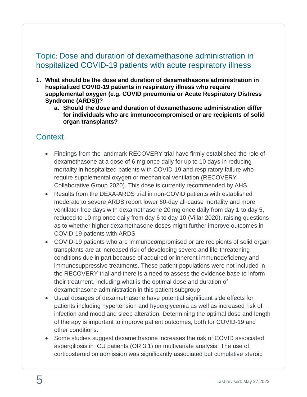# <span id="page-4-0"></span>Topic**:** Dose and duration of dexamethasone administration in hospitalized COVID-19 patients with acute respiratory illness

- **1. What should be the dose and duration of dexamethasone administration in hospitalized COVID-19 patients in respiratory illness who require supplemental oxygen (e.g. COVID pneumonia or Acute Respiratory Distress Syndrome (ARDS))?**
	- **a. Should the dose and duration of dexamethasone administration differ for individuals who are immunocompromised or are recipients of solid organ transplants?**

## <span id="page-4-1"></span>**Context**

- Findings from the landmark RECOVERY trial have firmly established the role of dexamethasone at a dose of 6 mg once daily for up to 10 days in reducing mortality in hospitalized patients with COVID-19 and respiratory failure who require supplemental oxygen or mechanical ventilation (RECOVERY Collaborative Group 2020). This dose is currently recommended by AHS.
- Results from the DEXA-ARDS trial in non-COVID patients with established moderate to severe ARDS report lower 60-day all-cause mortality and more ventilator-free days with dexamethasone 20 mg once daily from day 1 to day 5, reduced to 10 mg once daily from day 6 to day 10 (Villar 2020), raising questions as to whether higher dexamethasone doses might further improve outcomes in COVID-19 patients with ARDS
- COVID-19 patients who are immunocompromised or are recipients of solid organ transplants are at increased risk of developing severe and life-threatening conditions due in part because of acquired or inherent immunodeficiency and immunosuppressive treatments. These patient populations were not included in the RECOVERY trial and there is a need to assess the evidence base to inform their treatment, including what is the optimal dose and duration of dexamethasone administration in this patient subgroup
- Usual dosages of dexamethasone have potential significant side effects for patients including hypertension and hyperglycemia as well as increased risk of infection and mood and sleep alteration. Determining the optimal dose and length of therapy is important to improve patient outcomes, both for COVID-19 and other conditions.
- Some studies suggest dexamethasone increases the risk of COVID associated aspergillosis in ICU patients (OR 3.1) on multivariate analysis. The use of corticosteroid on admission was significantly associated but cumulative steroid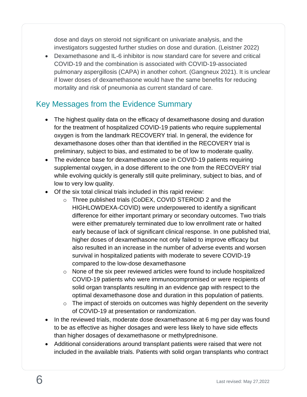dose and days on steroid not significant on univariate analysis, and the investigators suggested further studies on dose and duration. (Leistner 2022)

• Dexamethasone and IL-6 inhibitor is now standard care for severe and critical COVID-19 and the combination is associated with COVID-19-associated pulmonary aspergillosis (CAPA) in another cohort. (Gangneux 2021). It is unclear if lower doses of dexamethasone would have the same benefits for reducing mortality and risk of pneumonia as current standard of care.

# <span id="page-5-0"></span>Key Messages from the Evidence Summary

- The highest quality data on the efficacy of dexamethasone dosing and duration for the treatment of hospitalized COVID-19 patients who require supplemental oxygen is from the landmark RECOVERY trial. In general, the evidence for dexamethasone doses other than that identified in the RECOVERY trial is preliminary, subject to bias, and estimated to be of low to moderate quality.
- The evidence base for dexamethasone use in COVID-19 patients requiring supplemental oxygen, in a dose different to the one from the RECOVERY trial while evolving quickly is generally still quite preliminary, subject to bias, and of low to very low quality.
- Of the six total clinical trials included in this rapid review:
	- o Three published trials (CoDEX, COVID STEROID 2 and the HIGHLOWDEXA-COVID) were underpowered to identify a significant difference for either important primary or secondary outcomes. Two trials were either prematurely terminated due to low enrollment rate or halted early because of lack of significant clinical response. In one published trial, higher doses of dexamethasone not only failed to improve efficacy but also resulted in an increase in the number of adverse events and worsen survival in hospitalized patients with moderate to severe COVID-19 compared to the low-dose dexamethasone
	- o None of the six peer reviewed articles were found to include hospitalized COVID-19 patients who were immunocompromised or were recipients of solid organ transplants resulting in an evidence gap with respect to the optimal dexamethasone dose and duration in this population of patients.
	- o The impact of steroids on outcomes was highly dependent on the severity of COVID-19 at presentation or randomization.
- In the reviewed trials, moderate dose dexamethasone at 6 mg per day was found to be as effective as higher dosages and were less likely to have side effects than higher dosages of dexamethasone or methylprednisone.
- Additional considerations around transplant patients were raised that were not included in the available trials. Patients with solid organ transplants who contract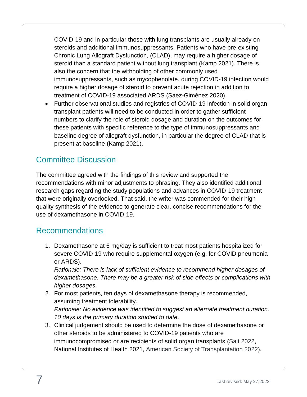COVID-19 and in particular those with lung transplants are usually already on steroids and additional immunosuppressants. Patients who have pre-existing Chronic Lung Allograft Dysfunction, (CLAD), may require a higher dosage of steroid than a standard patient without lung transplant (Kamp 2021). There is also the concern that the withholding of other commonly used immunosuppressants, such as mycophenolate, during COVID-19 infection would require a higher dosage of steroid to prevent acute rejection in addition to treatment of COVID-19 associated ARDS (Saez-Giménez 2020).

• Further observational studies and registries of COVID-19 infection in solid organ transplant patients will need to be conducted in order to gather sufficient numbers to clarify the role of steroid dosage and duration on the outcomes for these patients with specific reference to the type of immunosuppressants and baseline degree of allograft dysfunction, in particular the degree of CLAD that is present at baseline (Kamp 2021).

# <span id="page-6-0"></span>Committee Discussion

The committee agreed with the findings of this review and supported the recommendations with minor adjustments to phrasing. They also identified additional research gaps regarding the study populations and advances in COVID-19 treatment that were originally overlooked. That said, the writer was commended for their highquality synthesis of the evidence to generate clear, concise recommendations for the use of dexamethasone in COVID-19.

## <span id="page-6-1"></span>Recommendations

1. Dexamethasone at 6 mg/day is sufficient to treat most patients hospitalized for severe COVID-19 who require supplemental oxygen (e.g. for COVID pneumonia or ARDS).

*Rationale: There is lack of sufficient evidence to recommend higher dosages of dexamethasone. There may be a greater risk of side effects or complications with higher dosages.* 

- 2. For most patients, ten days of dexamethasone therapy is recommended, assuming treatment tolerability. *Rationale: No evidence was identified to suggest an alternate treatment duration. 10 days is the primary duration studied to date.*
- 3. Clinical judgement should be used to determine the dose of dexamethasone or other steroids to be administered to COVID-19 patients who are immunocompromised or are recipients of solid organ transplants (Sait 2022, National Institutes of Health 2021, American Society of Transplantation 2022).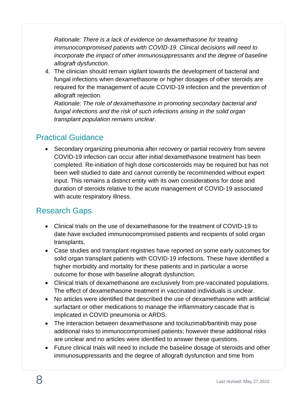*Rationale: There is a lack of evidence on dexamethasone for treating immunocompromised patients with COVID-19. Clinical decisions will need to incorporate the impact of other immunosuppressants and the degree of baseline allograft dysfunction.*

4. The clinician should remain vigilant towards the development of bacterial and fungal infections when dexamethasone or higher dosages of other steroids are required for the management of acute COVID-19 infection and the prevention of allograft rejection.

*Rationale: The role of dexamethasone in promoting secondary bacterial and fungal infections and the risk of such infections arising in the solid organ transplant population remains unclear*.

## <span id="page-7-0"></span>Practical Guidance

• Secondary organizing pneumonia after recovery or partial recovery from severe COVID-19 infection can occur after initial dexamethasone treatment has been completed. Re-initiation of high dose corticosteroids may be required but has not been well studied to date and cannot currently be recommended without expert input. This remains a distinct entity with its own considerations for dose and duration of steroids relative to the acute management of COVID-19 associated with acute respiratory illness.

## <span id="page-7-1"></span>Research Gaps

- Clinical trials on the use of dexamethasone for the treatment of COVID-19 to date have excluded immunocompromised patients and recipients of solid organ transplants.
- Case studies and transplant registries have reported on some early outcomes for solid organ transplant patients with COVID-19 infections. These have identified a higher morbidity and mortality for these patients and in particular a worse outcome for those with baseline allograft dysfunction.
- Clinical trials of dexamethasone are exclusively from pre-vaccinated populations. The effect of dexamethasone treatment in vaccinated individuals is unclear.
- No articles were identified that described the use of dexamethasone with artificial surfactant or other medications to manage the inflammatory cascade that is implicated in COVID pneumonia or ARDS.
- The interaction between dexamethasone and tociluzimab/baritinib may pose additional risks to immunocompromised patients; however these additional risks are unclear and no articles were identified to answer these questions.
- Future clinical trials will need to include the baseline dosage of steroids and other immunosuppressants and the degree of allograft dysfunction and time from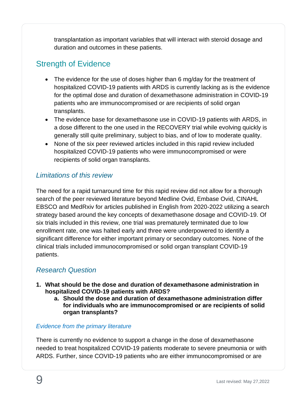transplantation as important variables that will interact with steroid dosage and duration and outcomes in these patients.

# <span id="page-8-0"></span>Strength of Evidence

- The evidence for the use of doses higher than 6 mg/day for the treatment of hospitalized COVID-19 patients with ARDS is currently lacking as is the evidence for the optimal dose and duration of dexamethasone administration in COVID-19 patients who are immunocompromised or are recipients of solid organ transplants.
- The evidence base for dexamethasone use in COVID-19 patients with ARDS, in a dose different to the one used in the RECOVERY trial while evolving quickly is generally still quite preliminary, subject to bias, and of low to moderate quality.
- None of the six peer reviewed articles included in this rapid review included hospitalized COVID-19 patients who were immunocompromised or were recipients of solid organ transplants.

## <span id="page-8-1"></span>*Limitations of this review*

The need for a rapid turnaround time for this rapid review did not allow for a thorough search of the peer reviewed literature beyond Medline Ovid, Embase Ovid, CINAHL EBSCO and MedRxiv for articles published in English from 2020-2022 utilizing a search strategy based around the key concepts of dexamethasone dosage and COVID-19. Of six trials included in this review, one trial was prematurely terminated due to low enrollment rate, one was halted early and three were underpowered to identify a significant difference for either important primary or secondary outcomes. None of the clinical trials included immunocompromised or solid organ transplant COVID-19 patients.

## <span id="page-8-2"></span>*Research Question*

- **1. What should be the dose and duration of dexamethasone administration in hospitalized COVID-19 patients with ARDS?**
	- **a. Should the dose and duration of dexamethasone administration differ for individuals who are immunocompromised or are recipients of solid organ transplants?**

#### <span id="page-8-3"></span>*Evidence from the primary literature*

There is currently no evidence to support a change in the dose of dexamethasone needed to treat hospitalized COVID-19 patients moderate to severe pneumonia or with ARDS. Further, since COVID-19 patients who are either immunocompromised or are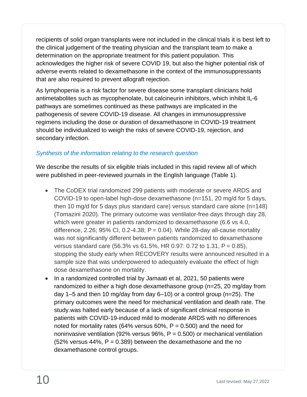recipients of solid organ transplants were not included in the clinical trials it is best left to the clinical judgement of the treating physician and the transplant team to make a determination on the appropriate treatment for this patient population. This acknowledges the higher risk of severe COVID 19, but also the higher potential risk of adverse events related to dexamethasone in the context of the immunosuppressants that are also required to prevent allograft rejection.

As lymphopenia is a risk factor for severe disease some transplant clinicians hold antimetabolites such as mycophenolate, but calcineurin inhibitors, which inhibit IL-6 pathways are sometimes continued as these pathways are implicated in the pathogenesis of severe COVID-19 disease. All changes in immunosuppressive regimens including the dose or duration of dexamethasone in COVID-19 treatment should be individualized to weigh the risks of severe COVID-19, rejection, and secondary infection.

#### <span id="page-9-0"></span>*Synthesis of the information relating to the research question*

We describe the results of six eligible trials included in this rapid review all of which were published in peer-reviewed journals in the English language (Table 1).

- The CoDEX trial randomized 299 patients with moderate or severe ARDS and COVID-19 to open-label high-dose dexamethasone (n=151, 20 mg/d for 5 days, then 10 mg/d for 5 days plus standard care) versus standard care alone (n=148) (Tomazini 2020). The primary outcome was ventilator-free days through day 28, which were greater in patients randomized to dexamethasone (6.6 vs 4.0, difference, 2.26; 95% CI, 0.2-4.38;  $P = 0.04$ ). While 28-day all-cause mortality was not significantly different between patients randomized to dexamethasone versus standard care (56.3% vs 61.5%, HR 0.97: 0.72 to 1.31, P = 0.85), stopping the study early when RECOVERY results were announced resulted in a sample size that was underpowered to adequately evaluate the effect of high dose dexamethasone on mortality.
- In a randomized controlled trial by Jamaati et al, 2021, 50 patients were randomized to either a high dose dexamethasone group (n=25, 20 mg/day from day 1–5 and then 10 mg/day from day 6–10) or a control group (n=25). The primary outcomes were the need for mechanical ventilation and death rate. The study.was halted early because of a lack of significant clinical response in patients with COVID-19-induced mild to moderate ARDS with no differences noted for mortality rates (64% versus 60%,  $P = 0.500$ ) and the need for noninvasive ventilation (92% versus 96%,  $P = 0.500$ ) or mechanical ventilation  $(52\%$  versus 44%, P = 0.389) between the dexamethasone and the no dexamethasone control groups.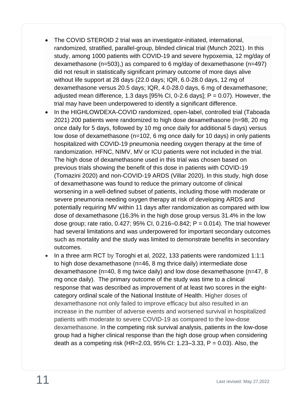- The COVID STEROID 2 trial was an investigator-initiated, international, randomized, stratified, parallel-group, blinded clinical trial (Munch 2021). In this study, among 1000 patients with COVID-19 and severe hypoxemia, 12 mg/day of dexamethasone (n=503),) as compared to 6 mg/day of dexamethasone (n=497) did not result in statistically significant primary outcome of more days alive without life support at 28 days (22.0 days; IQR, 6.0-28.0 days, 12 mg of dexamethasone versus 20.5 days; IQR, 4.0-28.0 days, 6 mg of dexamethasone; adjusted mean difference, 1.3 days  $[95\%$  CI, 0-2.6 days]; P = 0.07). However, the trial may have been underpowered to identify a significant difference.
- In the HIGHLOWDEXA-COVID randomized, open-label, controlled trial (Taboada 2021) 200 patients were randomized to high dose dexamethasone (n=98, 20 mg once daily for 5 days, followed by 10 mg once daily for additional 5 days) versus low dose of dexamethasone (n=102, 6 mg once daily for 10 days) in only patients hospitalized with COVID-19 pneumonia needing oxygen therapy at the time of randomization. HFNC, NIMV, MV or ICU patients were not included in the trial. The high dose of dexamethasone used in this trial was chosen based on previous trials showing the benefit of this dose in patients with COVID-19 (Tomazini 2020) and non-COVID-19 ARDS (Villar 2020). In this study, high dose of dexamethasone was found to reduce the primary outcome of clinical worsening in a well-defined subset of patients, including those with moderate or severe pneumonia needing oxygen therapy at risk of developing ARDS and potentially requiring MV within 11 days after randomization as compared with low dose of dexamethasone (16.3% in the high dose group versus 31.4% in the low dose group; rate ratio,  $0.427$ ;  $95\%$  CI,  $0.216-0.842$ ; P = 0.014). The trial however had several limitations and was underpowered for important secondary outcomes such as mortality and the study was limited to demonstrate benefits in secondary outcomes.
- In a three arm RCT by Toroghi et al, 2022, 133 patients were randomized 1:1:1 to high dose dexamethasone (n=46, 8 mg thrice daily) intermediate dose dexamethasone (n=40, 8 mg twice daily) and low dose dexamethasone (n=47, 8 mg once daily). The primary outcome of the study was time to a clinical response that was described as improvement of at least two scores in the eightcategory ordinal scale of the National Institute of Health. Higher doses of dexamethasone not only failed to improve efficacy but also resulted in an increase in the number of adverse events and worsened survival in hospitalized patients with moderate to severe COVID-19 as compared to the low-dose dexamethasone. In the competing risk survival analysis, patients in the low-dose group had a higher clinical response than the high dose group when considering death as a competing risk (HR=2.03, 95% CI: 1.23–3.33, P = 0.03). Also, the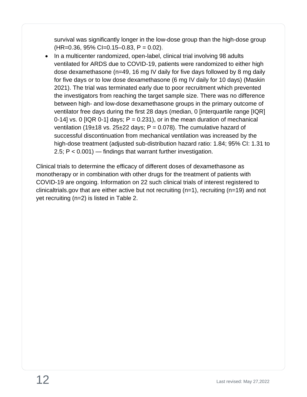survival was significantly longer in the low-dose group than the high-dose group  $(HR=0.36, 95\% CI=0.15-0.83, P = 0.02).$ 

• In a multicenter randomized, open-label, clinical trial involving 98 adults ventilated for ARDS due to COVID-19, patients were randomized to either high dose dexamethasone (n=49, 16 mg IV daily for five days followed by 8 mg daily for five days or to low dose dexamethasone (6 mg IV daily for 10 days) (Maskin 2021). The trial was terminated early due to poor recruitment which prevented the investigators from reaching the target sample size. There was no difference between high- and low-dose dexamethasone groups in the primary outcome of ventilator free days during the first 28 days (median, 0 [interquartile range [IQR] 0-14] vs. 0 [IQR 0-1] days;  $P = 0.231$ ), or in the mean duration of mechanical ventilation (19 $\pm$ 18 vs. 25 $\pm$ 22 days; P = 0.078). The cumulative hazard of successful discontinuation from mechanical ventilation was increased by the high-dose treatment (adjusted sub-distribution hazard ratio: 1.84; 95% CI: 1.31 to 2.5; P < 0.001) — findings that warrant further investigation.

Clinical trials to determine the efficacy of different doses of dexamethasone as monotherapy or in combination with other drugs for the treatment of patients with COVID-19 are ongoing. Information on 22 such clinical trials of interest registered to clinicaltrials.gov that are either active but not recruiting (n=1), recruiting (n=19) and not yet recruiting (n=2) is listed in Table 2.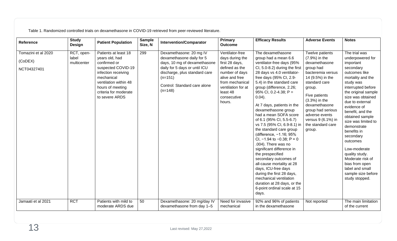Table 1. Randomized controlled trials on dexamethasone in COVID-19 retrieved from peer-reviewed literature.

| Reference                                     | <b>Study</b><br>Design             | <b>Patient Population</b>                                                                                                                                                                                 | <b>Sample</b><br>Size, N | <b>Intervention/Comparator</b>                                                                                                                                                                                   | <b>Primary</b><br><b>Outcome</b>                                                                                                                                                         | <b>Efficacy Results</b>                                                                                                                                                                                                                                                                                                                                                                                                                                                                                                                                                                                                                                                                                                                                                               | <b>Adverse Events</b>                                                                                                                                                                                                                                                               | <b>Notes</b>                                                                                                                                                                                                                                                                                                                                                                                                                                                               |
|-----------------------------------------------|------------------------------------|-----------------------------------------------------------------------------------------------------------------------------------------------------------------------------------------------------------|--------------------------|------------------------------------------------------------------------------------------------------------------------------------------------------------------------------------------------------------------|------------------------------------------------------------------------------------------------------------------------------------------------------------------------------------------|---------------------------------------------------------------------------------------------------------------------------------------------------------------------------------------------------------------------------------------------------------------------------------------------------------------------------------------------------------------------------------------------------------------------------------------------------------------------------------------------------------------------------------------------------------------------------------------------------------------------------------------------------------------------------------------------------------------------------------------------------------------------------------------|-------------------------------------------------------------------------------------------------------------------------------------------------------------------------------------------------------------------------------------------------------------------------------------|----------------------------------------------------------------------------------------------------------------------------------------------------------------------------------------------------------------------------------------------------------------------------------------------------------------------------------------------------------------------------------------------------------------------------------------------------------------------------|
| Tomazini et al 2020<br>(CoDEX)<br>NCT04327401 | RCT, open-<br>label<br>multicenter | Patients at least 18<br>years old, had<br>confirmed or<br>suspected COVID-19<br>infection receiving<br>mechanical<br>ventilation within 48<br>hours of meeting<br>criteria for moderate<br>to severe ARDS | 299                      | Dexamethasone: 20 mg IV<br>dexamethasone daily for 5<br>days, 10 mg of dexamethasone<br>daily for 5 days or until ICU<br>discharge, plus standard care<br>$(n=151)$<br>Control: Standard care alone<br>$(n=148)$ | Ventilator-free<br>days during the<br>first 28 days,<br>defined as the<br>number of days<br>alive and free<br>from mechanical<br>ventilation for at<br>least 48<br>consecutive<br>hours. | The dexamethasone<br>group had a mean 6.6<br>ventilator-free days (95%<br>CI, 5.0-8.2) during the first<br>28 days vs 4.0 ventilator-<br>free days (95% CI, 2.9-<br>5.4) in the standard care<br>group (difference, 2.26;<br>95% CI, 0.2-4.38; $P =$<br>$0.04$ ).<br>At 7 days, patients in the<br>dexamethasone group<br>had a mean SOFA score<br>of 6.1 (95% CI, 5.5-6.7)<br>vs 7.5 (95% CI, 6.9-8.1) in<br>the standard care group<br>(difference, -1.16; 95%<br>CI, $-1.94$ to $-0.38$ ; P = 0<br>.004). There was no<br>significant difference in<br>the prespecified<br>secondary outcomes of<br>all-cause mortality at 28<br>days, ICU-free days<br>during the first 28 days,<br>mechanical ventilation<br>duration at 28 days, or the<br>6-point ordinal scale at 15<br>days. | Twelve patients<br>(7.9%) in the<br>dexamethasone<br>group had<br>bacteremia versus<br>14 (9.5%) in the<br>standard care<br>group.<br>Five patients<br>$(3.3%)$ in the<br>dexamethasone<br>group had serious<br>adverse events<br>versus 9 (6.1%) in<br>the standard care<br>group. | The trial was<br>underpowered for<br>important<br>secondary<br>outcomes like<br>mortality and the<br>study was<br>interrupted before<br>the original sample<br>size was obtained<br>due to external<br>evidence of<br>benefit, and the<br>obtained sample<br>size was limited to<br>demonstrate<br>benefits in<br>secondary<br>outcomes<br>Low-moderate<br>quality study.<br>Moderate risk of<br>bias from open<br>label and small<br>sample size before<br>study stopped. |
| Jamaati et al 2021                            | <b>RCT</b>                         | Patients with mild to<br>moderate ARDS due                                                                                                                                                                | 50                       | Dexamethasone: 20 mg/day IV<br>dexamethasone from day 1-5                                                                                                                                                        | Need for invasive<br>mechanical                                                                                                                                                          | 92% and 96% of patients<br>in the dexamethasone                                                                                                                                                                                                                                                                                                                                                                                                                                                                                                                                                                                                                                                                                                                                       | Not reported                                                                                                                                                                                                                                                                        | The main limitation<br>of the current                                                                                                                                                                                                                                                                                                                                                                                                                                      |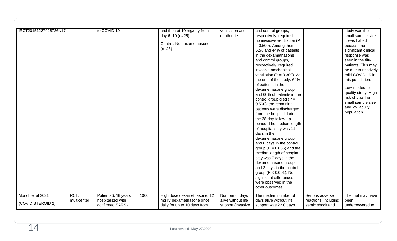| IRCT20151227025726N17                 |                     | to COVID-19                                                      |      | and then at 10 mg/day from<br>day 6-10 (n=25)<br>Control: No dexamethasone<br>$(n=25)$  | ventilation and<br>death rate.                            | and control groups,<br>respectively, required<br>noninvasive ventilation (P<br>$= 0.500$ ). Among them,<br>52% and 44% of patients<br>in the dexamethasone<br>and control groups,<br>respectively, required<br>invasive mechanical<br>ventilation ( $P = 0.389$ ). At<br>the end of the study, 64%<br>of patients in the<br>dexamethasone group<br>and 60% of patients in the<br>control group died ( $P =$<br>0.500); the remaining<br>patients were discharged<br>from the hospital during<br>the 28-day follow-up<br>period. The median length<br>of hospital stay was 11<br>days in the<br>dexamethasone group<br>and 6 days in the control<br>group ( $P = 0.036$ ) and the<br>median length of hospital<br>stay was 7 days in the<br>dexamethasone group<br>and 3 days in the control<br>group ( $P < 0.001$ ). No<br>significant differences<br>were observed in the<br>other outcomes. |                                                             | study was the<br>small sample size.<br>It was halted<br>because no<br>significant clinical<br>response was<br>seen in the fifty<br>patients. This may<br>be due to relatively<br>mild COVID-19 in<br>this population.<br>Low-moderate<br>quality study. High<br>risk of bias from<br>small sample size<br>and low acuity<br>population |
|---------------------------------------|---------------------|------------------------------------------------------------------|------|-----------------------------------------------------------------------------------------|-----------------------------------------------------------|------------------------------------------------------------------------------------------------------------------------------------------------------------------------------------------------------------------------------------------------------------------------------------------------------------------------------------------------------------------------------------------------------------------------------------------------------------------------------------------------------------------------------------------------------------------------------------------------------------------------------------------------------------------------------------------------------------------------------------------------------------------------------------------------------------------------------------------------------------------------------------------------|-------------------------------------------------------------|----------------------------------------------------------------------------------------------------------------------------------------------------------------------------------------------------------------------------------------------------------------------------------------------------------------------------------------|
| Munch et al 2021<br>(COVID STEROID 2) | RCT,<br>multicenter | Patients $\geq$ 18 years<br>hospitalized with<br>confirmed SARS- | 1000 | High dose dexamethasone: 12<br>mg IV dexamethasone once<br>daily for up to 10 days from | Number of days<br>alive without life<br>support (invasive | The median number of<br>days alive without life<br>support was 22.0 days                                                                                                                                                                                                                                                                                                                                                                                                                                                                                                                                                                                                                                                                                                                                                                                                                       | Serious adverse<br>reactions, including<br>septic shock and | The trial may have<br>been<br>underpowered to                                                                                                                                                                                                                                                                                          |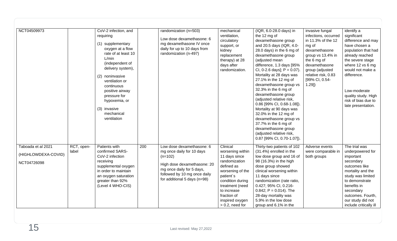| NCT04509973                                              |                     | CoV-2 infection, and<br>requiring<br>(1) supplementary<br>oxygen at a flow<br>rate of at least 10<br>L/min<br>(independent of                                                    |     | randomization (n=503)<br>Low dose dexamethasone: 6<br>mg dexamethasone IV once<br>daily for up to 10 days from<br>randomization (n-497)                                                         | mechanical<br>ventilation,<br>circulatory<br>support, or<br>kidney<br>replacement<br>therapy) at 28                                                                                                                         | (IQR, 6.0-28.0 days) in<br>the 12 mg of<br>dexamethasone group<br>and 20.5 days (IQR, 4.0-<br>28.0 days) in the 6 mg of<br>dexamethasone group<br>(adjusted mean<br>difference, 1.3 days [95%<br>CI, 0-2.6 days]; $P = 0.07$ ).<br>Mortality at 28 days was<br>27.1% in the 12 mg of<br>dexamethasone group vs<br>32.3% in the 6 mg of<br>dexamethasone group<br>(adjusted relative risk,<br>0.86 [99% CI, 0.68-1.08]).<br>Mortality at 90 days was<br>32.0% in the 12 mg of<br>dexamethasone group vs<br>37.7% in the 6 mg of<br>dexamethasone group<br>(adjusted relative risk,<br>0.87 [99% CI, 0.70-1.07]). | invasive fungal<br>infections, occurred<br>in 11.3% of the 12<br>mg of<br>dexamethasone<br>group vs 13.4% in<br>the 6 mg of<br>dexamethasone<br>group (adjusted<br>relative risk, 0.83<br>[99% CI, 0.54-<br>$1.29$ ] | identify a<br>significant<br>difference and may<br>have chosen a<br>population that had<br>already reached<br>the severe stage                                                                                                           |
|----------------------------------------------------------|---------------------|----------------------------------------------------------------------------------------------------------------------------------------------------------------------------------|-----|-------------------------------------------------------------------------------------------------------------------------------------------------------------------------------------------------|-----------------------------------------------------------------------------------------------------------------------------------------------------------------------------------------------------------------------------|-----------------------------------------------------------------------------------------------------------------------------------------------------------------------------------------------------------------------------------------------------------------------------------------------------------------------------------------------------------------------------------------------------------------------------------------------------------------------------------------------------------------------------------------------------------------------------------------------------------------|----------------------------------------------------------------------------------------------------------------------------------------------------------------------------------------------------------------------|------------------------------------------------------------------------------------------------------------------------------------------------------------------------------------------------------------------------------------------|
|                                                          |                     | delivery system),<br>(2) noninvasive<br>ventilation or<br>continuous<br>positive airway<br>pressure for<br>hypoxemia, or<br>(3) invasive<br>mechanical<br>ventilation            |     |                                                                                                                                                                                                 | days after<br>randomization.                                                                                                                                                                                                |                                                                                                                                                                                                                                                                                                                                                                                                                                                                                                                                                                                                                 |                                                                                                                                                                                                                      | where 12 vs 6 mg<br>would not make a<br>difference.<br>Low-moderate<br>quality study. High<br>risk of bias due to<br>late presentation.                                                                                                  |
| Taboada et al 2021<br>(HIGHLOWDEXA-COVID)<br>NCT04726098 | RCT, open-<br>label | Patients with<br>confirmed SARS-<br>CoV-2 infection<br>receiving<br>supplemental oxygen<br>in order to maintain<br>an oxygen saturation<br>greater than 92%<br>(Level 4 WHO-CIS) | 200 | Low dose dexamethasone: 6<br>mg once daily for 10 days<br>$(n=102)$<br>High dose dexamethasone: 20<br>mg once daily for 5 days,<br>followed by 10 mg once daily<br>for additional 5 days (n=98) | Clinical<br>worsening within<br>11 days since<br>randomization<br>defined as<br>worsening of the<br>patient's<br>condition during<br>treatment (need<br>to increase<br>fraction of<br>inspired oxygen<br>$> 0.2$ , need for | Thirty-two patients of 102<br>(31.4%) enrolled in the<br>low dose group and 16 of<br>98 (16.3%) in the high<br>dose group showed<br>clinical worsening within<br>11 days since<br>randomization (rate ratio,<br>0.427; 95% CI, 0.216-<br>$0.842$ ; P = 0.014). The<br>28-day mortality was<br>5.9% in the low dose<br>group and 6.1% in the                                                                                                                                                                                                                                                                     | Adverse events<br>were comparable in<br>both groups                                                                                                                                                                  | The trial was<br>underpowered for<br>important<br>secondary<br>outcomes like<br>mortality and the<br>study was limited<br>to demonstrate<br>benefits in<br>secondary<br>outcomes. Fourth,<br>our study did not<br>include critically ill |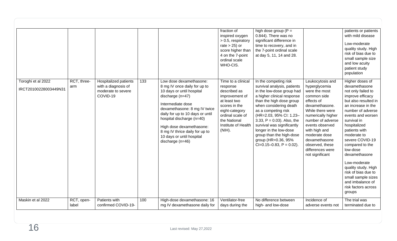|                                             |                     |                                                                                       |     |                                                                                                                                                                                                                                                                                                                                                   | fraction of<br>inspired oxygen<br>> 0.5, respiratory<br>rate $> 25$ ) or<br>score higher than<br>4 on the 7-point<br>ordinal scale<br>WHO-CIS.                                              | high dose group ( $P =$<br>0.844). There was no<br>significant difference in<br>time to recovery, and in<br>the 7-point ordinal scale<br>at day 5, 11, 14 and 28.                                                                                                                                                                                                                                         |                                                                                                                                                                                                                                                                                                  | patients or patients<br>with mild disease<br>Low-moderate<br>quality study. High<br>risk of bias due to<br>small sample size<br>and low acuity<br>patient study<br>population                                                                                                                                                                                                                                                                 |
|---------------------------------------------|---------------------|---------------------------------------------------------------------------------------|-----|---------------------------------------------------------------------------------------------------------------------------------------------------------------------------------------------------------------------------------------------------------------------------------------------------------------------------------------------------|---------------------------------------------------------------------------------------------------------------------------------------------------------------------------------------------|-----------------------------------------------------------------------------------------------------------------------------------------------------------------------------------------------------------------------------------------------------------------------------------------------------------------------------------------------------------------------------------------------------------|--------------------------------------------------------------------------------------------------------------------------------------------------------------------------------------------------------------------------------------------------------------------------------------------------|-----------------------------------------------------------------------------------------------------------------------------------------------------------------------------------------------------------------------------------------------------------------------------------------------------------------------------------------------------------------------------------------------------------------------------------------------|
| Toroghi et al 2022<br>IRCT20100228003449N31 | RCT, three-<br>arm  | <b>Hospitalized patients</b><br>with a diagnosis of<br>moderate to severe<br>COVID-19 | 133 | Low dose dexamethasone:<br>8 mg IV once daily for up to<br>10 days or until hospital<br>discharge $(n=47)$<br>Intermediate dose<br>dexamethasone: 8 mg IV twice<br>daily for up to 10 days or until<br>hospital discharge (n=40)<br>High dose dexamethasone:<br>8 mg IV thrice daily for up to<br>10 days or until hospital<br>discharge $(n=46)$ | Time to a clinical<br>response<br>described as<br>improvement of<br>at least two<br>scores in the<br>eight-category<br>ordinal scale of<br>the National<br>Institute of Health<br>$(NIH)$ . | In the competing risk<br>survival analysis, patients<br>in the low-dose group had<br>a higher clinical response<br>than the high dose group<br>when considering death<br>as a competing risk<br>(HR=2.03, 95% CI: 1.23-<br>3.33, $P = 0.03$ ). Also, the<br>survival was significantly<br>longer in the low-dose<br>group than the high-dose<br>group (HR=0.36, 95%<br>$Cl = 0.15 - 0.83$ , $P = 0.02$ ). | Leukocytosis and<br>hyperglycemia<br>were the most<br>common side<br>effects of<br>dexamethasone.<br>While there were<br>numerically higher<br>number of adverse<br>events observed<br>with high and<br>moderate dose<br>dexamethasone<br>observed, these<br>differences were<br>not significant | Higher doses of<br>dexamethasone<br>not only failed to<br>improve efficacy<br>but also resulted in<br>an increase in the<br>number of adverse<br>events and worsen<br>survival in<br>hospitalized<br>patients with<br>moderate to<br>severe COVID-19<br>compared to the<br>low-dose<br>dexamethasone<br>Low-moderate<br>quality study. High<br>risk of bias due to<br>small sample sizes<br>and imbalance of<br>risk factors across<br>groups |
| Maskin et al 2022                           | RCT, open-<br>label | Patients with<br>confirmed COVID-19-                                                  | 100 | High-dose dexamethasone: 16<br>mg IV dexamethasone daily for                                                                                                                                                                                                                                                                                      | Ventilator-free<br>days during the                                                                                                                                                          | No difference between<br>high- and low-dose                                                                                                                                                                                                                                                                                                                                                               | Incidence of<br>adverse events not                                                                                                                                                                                                                                                               | The trial was<br>terminated due to                                                                                                                                                                                                                                                                                                                                                                                                            |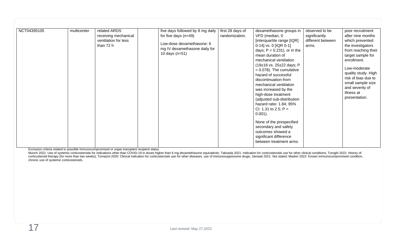| (19±18 vs. 25±22 days; P<br>Low-moderate<br>$= 0.078$ ). The cumulative<br>quality study. High<br>hazard of successful<br>risk of bias due to<br>discontinuation from<br>small sample size<br>mechanical ventilation<br>and severity of<br>was increased by the<br>illness at<br>high-dose treatment<br>presentation.<br>(adjusted sub-distribution<br>hazard ratio: 1.84; 95%<br>CI: 1.31 to 2.5; P <<br>$0.001$ ).<br>None of the prespecified<br>secondary and safety<br>outcomes showed a<br>significant difference<br>between treatment arms. |
|----------------------------------------------------------------------------------------------------------------------------------------------------------------------------------------------------------------------------------------------------------------------------------------------------------------------------------------------------------------------------------------------------------------------------------------------------------------------------------------------------------------------------------------------------|
|----------------------------------------------------------------------------------------------------------------------------------------------------------------------------------------------------------------------------------------------------------------------------------------------------------------------------------------------------------------------------------------------------------------------------------------------------------------------------------------------------------------------------------------------------|

Exclusion criteria related to possible immunocompromised or organ transplant recipient status

Munch 2021: Use of systemic corticosteroids for indications other than COVID-19 in doses higher than 6 mg dexamethasone equivalents; Taboada 2021: Indication for corticosteroids use for other clinical conditions; Toroghi 2 corticosteroid therapy (for more than two weeks); Tomazini 2020: Clinical indication for corticosteroids use for other diseases, use of immunosuppressive drugs; Jamaati 2021: Not stated; Maskin 2022: Known immunocompromise chronic use of systemic corticosteroids.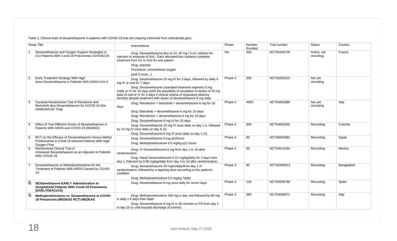Table 2. Clinical trials of dexamethasone in patients with COVID-19 that are ongoing (retrieved from clinicaltrials.gov).

| <b>Study Title</b>                                                                                                           | Interventions                                                                                                                                                                                                                                                                              | Phase     | Number<br>Enrolled | Trial number | Status                    | Country    |
|------------------------------------------------------------------------------------------------------------------------------|--------------------------------------------------------------------------------------------------------------------------------------------------------------------------------------------------------------------------------------------------------------------------------------------|-----------|--------------------|--------------|---------------------------|------------|
| Dexamethasone and Oxygen Support Strategies in<br>ICU Patients With Covid-19 Pneumonia COVIDICUS                             | Drug: Dexamethasone Box of 10, 20 mg / 5 ml, solution for<br>injection in ampoule of 5mL. Each allocated box contains complete<br>treatment from D1 to D10 for one patient.                                                                                                                | <b>NA</b> | 550                | NCT04344730  | Active, not<br>recruiting | France     |
|                                                                                                                              | Drug: placebo                                                                                                                                                                                                                                                                              |           |                    |              |                           |            |
|                                                                                                                              | Procedure: conventional oxygen                                                                                                                                                                                                                                                             |           |                    |              |                           |            |
| Early Treatment Strategy With High-<br>2.                                                                                    | (and 3 more)                                                                                                                                                                                                                                                                               | Phase 3   | 200                | NCT05293210  | Not yet                   |            |
| dose Dexamethasone in Patients With SARS-CoV-2                                                                               | Drug: Dexamethasone 20 mg IV for 3 days, followed by daily 6<br>mg IV or oral for 7 days                                                                                                                                                                                                   |           |                    |              | recruiting                |            |
|                                                                                                                              | Drug: Dexamethasone (standard treatment regimen) 6 mg<br>orally or IV for 10 days (with the possibility of escalation to doses of 20 mg<br>daily of oral or IV for 3 days if clinical criteria of respiratory distress<br>develop despite treatment with doses of dexamethasone 6 mg daily |           |                    |              |                           |            |
| Factorial Randomized Trial of Rendesivir and<br>3.<br>Baricitinib plus Dexamethasone for COVID-19 (the                       | Drug: Remdesivir + baricitinib + dexamethasone 6 mg for 10<br>days                                                                                                                                                                                                                         | Phase 3   | 4000               | NCT04832880  | Not yet<br>recruiting     | Italy      |
| <b>AMMURAVID Trial)</b>                                                                                                      | Drug: Baricitinib + dexamethasone 6 mg for 10 days                                                                                                                                                                                                                                         |           |                    |              |                           |            |
|                                                                                                                              | Drug: Remdesivir + dexamethasone 6 mg for 10 days                                                                                                                                                                                                                                          |           |                    |              |                           |            |
|                                                                                                                              | Drug: Dexamethasone 6 mg IV for 10 days                                                                                                                                                                                                                                                    |           |                    |              |                           |            |
| Effect of Two Different Doses of Dexamethasone in<br>4.<br>Patients With ARDS and COVID-19 (REMED)                           | Drug: Dexamethasone 20 mg IV once daily on day 1-5, followed<br>by 10 mg IV once daily on day 6-10.                                                                                                                                                                                        | Phase 4   | 300                | NCT04663555  | Recruiting                | Czechia    |
|                                                                                                                              | Drug: Dexamethasone 6 mg IV once daily on day 1-10,                                                                                                                                                                                                                                        |           |                    |              |                           |            |
| RCT on the Efficacy of Dexamethasone Versus Methyl<br>Prednisolone in Covid-19 Infected Patients With High<br>Oxygen Flow    | Drug: Dexamethasone 8 mg q12hours<br>Drug: Methylprednisolone 0.5 mg/kg q12 hours                                                                                                                                                                                                          | Phase 4   | 60                 | NCT05062681  | Recruiting                | Egypt      |
| Randomized Clinical Trial of<br>6.<br>Intranasal Dexamethasone as an Adjuvant in Patients                                    | Drug: IV Dexamethasone 6 mg from day 1 to 10 after<br>randomization                                                                                                                                                                                                                        | Phase 2   | 60                 | NCT04513184  | Recruiting                | Mexico     |
| With COVID-19                                                                                                                | Drug: Nasal Dexamethasone 0.12 mg/kg/daily for 3 days from<br>day 1, followed by 0.06 mg/kg/daily from day 4 to 10 after randomization.                                                                                                                                                    |           |                    |              |                           |            |
| Dexamethasone vs Methylprednisolone for the<br>Treatment of Patients With ARDS Caused by COVID-<br>19                        | Drug: Dexamethasone 20 mg/iv/daily/from day 1 of<br>randomization, followed by a tapering dose according to the patient's<br>condition                                                                                                                                                     | Phase 3   | 60                 | NCT04499313  | Recruiting                | Bangladesh |
|                                                                                                                              | Drug: Methylprednisolone 0.5 mg/kg ?daily                                                                                                                                                                                                                                                  |           |                    |              |                           |            |
| 8.<br><b>DEXamethasone EARLY Administration in</b><br><b>Hospitalized Patients With Covid-19 Pneumonia</b><br>(EARLYDEXCoV2) | Drug: Dexamethasone 6 mg once daily for seven days                                                                                                                                                                                                                                         | Phase 3   | 126                | NCT04836780  | Recruiting                | Spain      |
| 9.<br>Methylprednisolone vs. Dexamethasone in COVID-<br>19 Pneumonia (MEDEAS RCT) MEDEAS                                     | Drug: Methylprednisolone 160 mg iv day one followed by 80 mg<br>iv daily x 8 days then taper                                                                                                                                                                                               | Phase 3   | 680                | NCT04636671  | Recruiting                | Italy      |
|                                                                                                                              | Drug: Dexamethasone 6 mg IV in 30 minutes or PO from day 1<br>to day 10 or until hospital discharge (if sooner).                                                                                                                                                                           |           |                    |              |                           |            |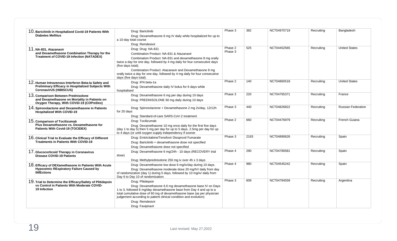| 10. Baricitinib in Hospitalized Covid-19 Patients With                                                                                     | Drug: Baricitinib                                                                                                                                                                                                                                                             | Phase 3 | 382  | NCT04970719 | Recruiting | Bangladesh                |
|--------------------------------------------------------------------------------------------------------------------------------------------|-------------------------------------------------------------------------------------------------------------------------------------------------------------------------------------------------------------------------------------------------------------------------------|---------|------|-------------|------------|---------------------------|
| <b>Diabetes Mellitus</b>                                                                                                                   | Drug: Dexamethasone 6 mg IV daily while hospitalized for up to                                                                                                                                                                                                                |         |      |             |            |                           |
|                                                                                                                                            | a 10-day total course<br>Drug: Remdesivir                                                                                                                                                                                                                                     |         |      |             |            |                           |
| 11. NA-831, Atazanavir                                                                                                                     | Drug: Drug: NA-831                                                                                                                                                                                                                                                            | Phase 2 | 525  | NCT04452565 | Recruiting | <b>United States</b>      |
| and Dexamethasone Combination Therapy for the                                                                                              | Combination Product: NA-831 & Atazanavir                                                                                                                                                                                                                                      | Phase 3 |      |             |            |                           |
| <b>Treatment of COVID-19 Infection (NATADEX)</b>                                                                                           | Combination Product: NA-831 and dexamethasone 8 mg orally<br>twice a day for one day, followed by 4 mg daily for four consecutive days<br>(five days total).                                                                                                                  |         |      |             |            |                           |
|                                                                                                                                            | Combination Product: Atazanavir and Dexamethasone 8 mg<br>orally twice a day for one day, followed by 4 mg daily for four consecutive<br>days (five days total).                                                                                                              |         |      |             |            |                           |
| 12. Human Intravenous Interferon Beta-la Safety and<br>Preliminary Efficacy in Hospitalized Subjects With<br><b>CoronavirUS (HIBISCUS)</b> | Drug: IFN beta-1a<br>Drug: Dexamethasone daily IV bolus for 6 days while<br>hospitalised                                                                                                                                                                                      | Phase 2 | 140  | NCT04860518 | Recruiting | <b>United States</b>      |
| 13. Comparison Between Prednisolone<br>and Dexamethasone on Mortality in Patients on<br>Oxygen Therapy, With COViD-19 (COPreDex)           | Drug: Dexamethasone 6 mg per day during 10 days<br>Drug: PREDNISOLONE 60 mg daily during 10 days                                                                                                                                                                              | Phase 3 | 220  | NCT04765371 | Recruiting | France                    |
| 14. Spironolactone and Dexamethasone in Patients<br><b>Hospitalized With COVID-19</b>                                                      | Drug: Spironolactone + Dexamethasone 2 mg 2x/day, 12/12h<br>for 20 days<br>Drug: Standard-of-care SARS-CoV-2 treatment                                                                                                                                                        | Phase 3 | 440  | NCT04826822 | Recruiting | <b>Russian Federation</b> |
| 15. Comparison of Tocilizumab<br>Plus Dexamethasone vs. Dexamethasone for<br><b>Patients With Covid-19 (TOCIDEX)</b>                       | Drug: Tocilizumab                                                                                                                                                                                                                                                             | Phase 2 | 660  | NCT04476979 | Recruiting | French Guiana             |
|                                                                                                                                            | Drug: Dexamethasone 10 mg once daily for the first five days<br>(day 1 to day 5) then 5 mg per day for up to 5 days, 2.5mg per day for up<br>to 4 days (or until oxygen supply independency if sooner                                                                         |         |      |             |            |                           |
| 16. Clinical Trial to Evaluate the Efficacy of Different                                                                                   | Drug: Emtricitabine/Tenofovir Disoproxil Fumarate                                                                                                                                                                                                                             | Phase 3 | 2193 | NCT04890626 | Recruiting | Spain                     |
| <b>Treatments in Patients With COVID-19</b>                                                                                                | Drug: Baricitinib + dexamethasone dose not specified<br>Drug: Dexamethasone dose not specified                                                                                                                                                                                |         |      |             |            |                           |
| 17. Glucocorticoid Therapy in Coronavirus<br><b>Disease COVID-19 Patients</b>                                                              | Drug: Dexamethasone 6 mg/24h - 10 days (RECOVERY trial<br>dose)<br>Drug: Methylprednisolone 250 mg iv over 4h x 3 days                                                                                                                                                        | Phase 4 | 290  | NCT04780581 | Recruiting | Spain                     |
| 18. Efficacy of DEXamethasone in Patients With Acute                                                                                       | Drug: Dexamethasone low dose 6 mg/iv/day during 10 days.                                                                                                                                                                                                                      | Phase 4 | 980  | NCT04545242 | Recruiting | Spain                     |
| <b>Hypoxemic REspiratory Failure Caused by</b><br><b>INfEctions</b>                                                                        | Drug: Dexamethasone moderate dose 20 mg/IV/ daily from day<br>of randomization (day 1) during 5 days, followed by 10 mg/iv/ daily from<br>Day 6 to Day 10 of randomization.                                                                                                   |         |      |             |            |                           |
| 19. Trial to Determine the Efficacy/Safety of Plitidepsin                                                                                  | Drug: Plitidepsin                                                                                                                                                                                                                                                             | Phase 3 | 609  | NCT04784559 | Recruiting | Argentina                 |
| vs Control in Patients With Moderate COVID-<br>19 Infection                                                                                | Drug: Dexamethasone 6.6 mg dexamethasone base IV on Days<br>1 to 3, followed 6 mg/day dexamethasone base from Day 4 and up to a<br>total cumulative dose of 60 mg of dexamethasone base (as per physician<br>judgement according to patient clinical condition and evolution) |         |      |             |            |                           |
|                                                                                                                                            | Drug: Remdesivir                                                                                                                                                                                                                                                              |         |      |             |            |                           |
|                                                                                                                                            | Drug: Favipiravir                                                                                                                                                                                                                                                             |         |      |             |            |                           |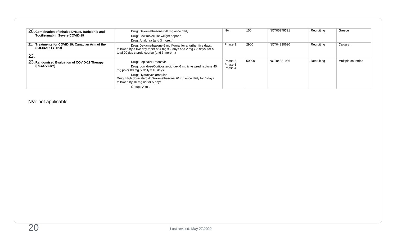| 20. Combination of Inhaled DNase, Baricitinib and<br>Tocilizumab in Severe COVID-19   | Drug: Dexamethasone 6-8 mg once daily<br>Drug: Low molecular weight heparin<br>Drug: Anakinra (and 3 more)                                                                                                                                                         | <b>NA</b>                     | 150   | NCT05279391 | Recruiting | Greece             |
|---------------------------------------------------------------------------------------|--------------------------------------------------------------------------------------------------------------------------------------------------------------------------------------------------------------------------------------------------------------------|-------------------------------|-------|-------------|------------|--------------------|
| Treatments for COVID-19: Canadian Arm of the<br>21.<br><b>SOLIDARITY Trial</b><br>22. | Drug: Dexamethasone 6 mg IV/oral for a further five days,<br>followed by a five day taper of 4 mg $\times$ 2 days and 2 mg $\times$ 3 days, for a<br>total 20 day steroid course (and 5 more)                                                                      | Phase 3                       | 2900  | NCT04330690 | Recruiting | Calgary,           |
| 23. Randomised Evaluation of COVID-19 Therapy<br>(RECOVERY)                           | Drug: Lopinavir-Ritonavir<br>Drug: Low doseCorticosteroid dex 6 mg iv vs prednisolone 40<br>mg po or 80 mg iv daily x 10 days<br>Drug: Hydroxychloroquine<br>Drug: High dose steroid: Dexamethasone 20 mg once daily for 5 days<br>followed by 10 mg od for 5 days | Phase 2<br>Phase 3<br>Phase 4 | 50000 | NCT04381936 | Recruiting | Multiple countries |
|                                                                                       | Groups A to L                                                                                                                                                                                                                                                      |                               |       |             |            |                    |

N/a: not applicable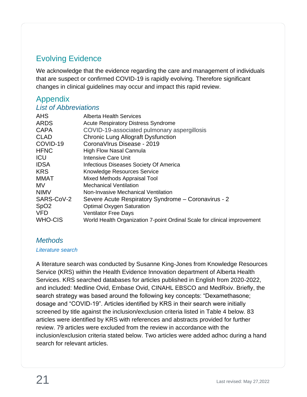# <span id="page-20-0"></span>Evolving Evidence

We acknowledge that the evidence regarding the care and management of individuals that are suspect or confirmed COVID-19 is rapidly evolving. Therefore significant changes in clinical guidelines may occur and impact this rapid review.

## <span id="page-20-1"></span>Appendix

#### <span id="page-20-2"></span>*List of Abbreviations*

| <b>AHS</b><br><b>ARDS</b><br><b>CAPA</b><br><b>CLAD</b><br>COVID-19<br><b>HFNC</b><br><b>ICU</b><br><b>IDSA</b><br><b>KRS</b><br><b>MMAT</b><br><b>MV</b><br><b>NIMV</b><br>SARS-CoV-2<br>SpO <sub>2</sub><br><b>VFD</b> | <b>Alberta Health Services</b><br><b>Acute Respiratory Distress Syndrome</b><br>COVID-19-associated pulmonary aspergillosis<br><b>Chronic Lung Allograft Dysfunction</b><br>Corona Virus Disease - 2019<br><b>High Flow Nasal Cannula</b><br>Intensive Care Unit<br>Infectious Diseases Society Of America<br>Knowledge Resources Service<br>Mixed Methods Appraisal Tool<br><b>Mechanical Ventilation</b><br>Non-Invasive Mechanical Ventilation<br>Severe Acute Respiratory Syndrome – Coronavirus - 2<br><b>Optimal Oxygen Saturation</b><br><b>Ventilator Free Days</b> |
|--------------------------------------------------------------------------------------------------------------------------------------------------------------------------------------------------------------------------|-----------------------------------------------------------------------------------------------------------------------------------------------------------------------------------------------------------------------------------------------------------------------------------------------------------------------------------------------------------------------------------------------------------------------------------------------------------------------------------------------------------------------------------------------------------------------------|
| <b>WHO-CIS</b>                                                                                                                                                                                                           | World Health Organization 7-point Ordinal Scale for clinical improvement                                                                                                                                                                                                                                                                                                                                                                                                                                                                                                    |
|                                                                                                                                                                                                                          |                                                                                                                                                                                                                                                                                                                                                                                                                                                                                                                                                                             |

#### <span id="page-20-3"></span>*Methods*

#### <span id="page-20-4"></span>*Literature search*

A literature search was conducted by Susanne King-Jones from Knowledge Resources Service (KRS) within the Health Evidence Innovation department of Alberta Health Services. KRS searched databases for articles published in English from 2020-2022, and included: Medline Ovid, Embase Ovid, CINAHL EBSCO and MedRxiv. Briefly, the search strategy was based around the following key concepts: "Dexamethasone; dosage and "COVID-19". Articles identified by KRS in their search were initially screened by title against the inclusion/exclusion criteria listed in Table 4 below. 83 articles were identified by KRS with references and abstracts provided for further review. 79 articles were excluded from the review in accordance with the inclusion/exclusion criteria stated below. Two articles were added adhoc during a hand search for relevant articles.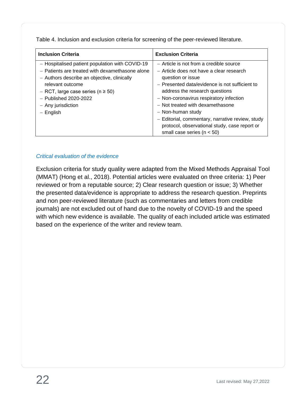Table 4. Inclusion and exclusion criteria for screening of the peer-reviewed literature.

| <b>Inclusion Criteria</b>                       | <b>Exclusion Criteria</b>                        |
|-------------------------------------------------|--------------------------------------------------|
| - Hospitalised patient population with COVID-19 | - Article is not from a credible source          |
| - Patients are treated with dexamethasone alone | - Article does not have a clear research         |
| - Authors describe an objective, clinically     | question or issue                                |
| relevant outcome                                | - Presented data/evidence is not sufficient to   |
| - RCT, large case series ( $n \ge 50$ )         | address the research questions                   |
| $-$ Published 2020-2022                         | - Non-coronavirus respiratory infection          |
| - Any jurisdiction                              | - Not treated with dexamethasone                 |
| – English                                       | - Non-human study                                |
|                                                 | - Editorial, commentary, narrative review, study |
|                                                 | protocol, observational study, case report or    |
|                                                 | small case series ( $n < 50$ )                   |

#### <span id="page-21-0"></span>*Critical evaluation of the evidence*

Exclusion criteria for study quality were adapted from the Mixed Methods Appraisal Tool (MMAT) (Hong et al., 2018). Potential articles were evaluated on three criteria: 1) Peer reviewed or from a reputable source; 2) Clear research question or issue; 3) Whether the presented data/evidence is appropriate to address the research question. Preprints and non peer-reviewed literature (such as commentaries and letters from credible journals) are not excluded out of hand due to the novelty of COVID-19 and the speed with which new evidence is available. The quality of each included article was estimated based on the experience of the writer and review team.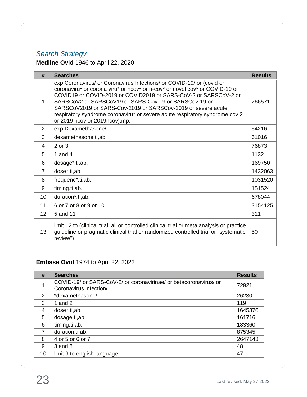# <span id="page-22-0"></span>*Search Strategy*

## **Medline Ovid** 1946 to April 22, 2020

| #              | <b>Searches</b>                                                                                                                                                                                                                                                                                                                                                                                                                                                   | <b>Results</b> |
|----------------|-------------------------------------------------------------------------------------------------------------------------------------------------------------------------------------------------------------------------------------------------------------------------------------------------------------------------------------------------------------------------------------------------------------------------------------------------------------------|----------------|
| 1              | exp Coronavirus/ or Coronavirus Infections/ or COVID-19/ or (covid or<br>coronaviru* or corona viru* or ncov* or n-cov* or novel cov* or COVID-19 or<br>COVID19 or COVID-2019 or COVID2019 or SARS-CoV-2 or SARSCoV-2 or<br>SARSCoV2 or SARSCoV19 or SARS-Cov-19 or SARSCov-19 or<br>SARSCoV2019 or SARS-Cov-2019 or SARSCov-2019 or severe acute<br>respiratory syndrome coronaviru* or severe acute respiratory syndrome cov 2<br>or 2019 ncov or 2019ncov).mp. | 266571         |
| $\overline{2}$ | exp Dexamethasone/                                                                                                                                                                                                                                                                                                                                                                                                                                                | 54216          |
| 3              | dexamethasone.ti,ab.                                                                                                                                                                                                                                                                                                                                                                                                                                              | 61016          |
| 4              | 2 or 3                                                                                                                                                                                                                                                                                                                                                                                                                                                            | 76873          |
| 5              | 1 and 4                                                                                                                                                                                                                                                                                                                                                                                                                                                           | 1132           |
| 6              | dosage*.ti,ab.                                                                                                                                                                                                                                                                                                                                                                                                                                                    | 169750         |
| 7              | dose*.ti,ab.                                                                                                                                                                                                                                                                                                                                                                                                                                                      | 1432063        |
| 8              | frequenc <sup>*</sup> .ti,ab.                                                                                                                                                                                                                                                                                                                                                                                                                                     | 1031520        |
| 9              | timing.ti,ab.                                                                                                                                                                                                                                                                                                                                                                                                                                                     | 151524         |
| 10             | duration*.ti,ab.                                                                                                                                                                                                                                                                                                                                                                                                                                                  | 678044         |
| 11             | 6 or 7 or 8 or 9 or 10                                                                                                                                                                                                                                                                                                                                                                                                                                            | 3154125        |
| 12             | 5 and 11                                                                                                                                                                                                                                                                                                                                                                                                                                                          | 311            |
| 13             | limit 12 to (clinical trial, all or controlled clinical trial or meta analysis or practice<br>guideline or pragmatic clinical trial or randomized controlled trial or "systematic<br>review")                                                                                                                                                                                                                                                                     | 50             |

## **Embase Ovid** 1974 to April 22, 2022

| #              | <b>Searches</b>                                                                             | <b>Results</b> |
|----------------|---------------------------------------------------------------------------------------------|----------------|
|                | COVID-19/ or SARS-CoV-2/ or coronavirinae/ or betacoronavirus/ or<br>Coronavirus infection/ | 72921          |
| $\overline{2}$ | *dexamethasone/                                                                             | 26230          |
| 3              | 1 and 2                                                                                     | 119            |
| 4              | dose*.ti,ab.                                                                                | 1645376        |
| 5              | dosage.ti,ab.                                                                               | 161716         |
| 6              | timing.ti, ab.                                                                              | 183360         |
| 7              | duration.ti, ab.                                                                            | 875345         |
| 8              | 4 or 5 or 6 or 7                                                                            | 2647143        |
| 9              | $3$ and $8$                                                                                 | 48             |
| 10             | limit 9 to english language                                                                 | 47             |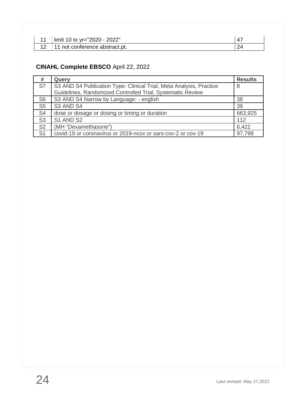| limit 10 to yr="2020 - 2022"   |  |
|--------------------------------|--|
| 11 not conference abstract.pt. |  |

## **CINAHL Complete EBSCO** April 22, 2022

| #              | Query                                                                                                                             | <b>Results</b> |
|----------------|-----------------------------------------------------------------------------------------------------------------------------------|----------------|
| S7             | S3 AND S4 Publication Type: Clinical Trial, Meta Analysis, Practice<br>Guidelines, Randomized Controlled Trial, Systematic Review | 8              |
|                |                                                                                                                                   |                |
| S <sub>6</sub> | S3 AND S4 Narrow by Language: - english                                                                                           | 38             |
| S <sub>5</sub> | S3 AND S4                                                                                                                         | 39             |
| S <sub>4</sub> | dose or dosage or dosing or timing or duration                                                                                    | 663,925        |
| S <sub>3</sub> | S1 AND S2                                                                                                                         | 112            |
| S <sub>2</sub> | (MH "Dexamethasone")                                                                                                              | 6,422          |
| S <sub>1</sub> | covid-19 or coronavirus or 2019-ncov or sars-cov-2 or cov-19                                                                      | 97,798         |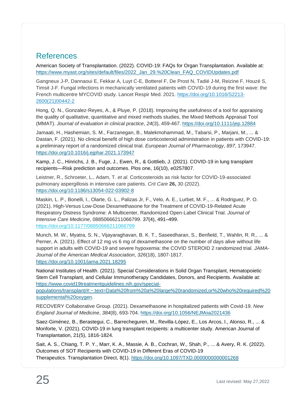## <span id="page-24-0"></span>References

American Society of Transplantation. (2022). COVID-19: FAQs for Organ Transplantation. Available at: [https://www.myast.org/sites/default/files/2022\\_Jan\\_29.%20Clean\\_FAQ\\_COVIDUpdates.pdf](https://www.myast.org/sites/default/files/2022_Jan_29.%20Clean_FAQ_COVIDUpdates.pdf)

Gangneux J-P, Dannaoui E, Fekkar A, Luyt C-E, Botterel F, De Prost N, Tadié J-M, Reizine F, Houzé S, Timsit J-F. Fungal infections in mechanically ventilated patients with COVID-19 during the first wave: the French multicentre MYCOVID study. Lancet Respir Med. 2021. [https://doi.org/10.1016/S2213-](https://doi.org/10.1016/S2213-2600(21)00442-2) [2600\(21\)00442-2](https://doi.org/10.1016/S2213-2600(21)00442-2)

Hong, Q. N., Gonzalez-Reyes, A., & Pluye, P. (2018). Improving the usefulness of a tool for appraising the quality of qualitative, quantitative and mixed methods studies, the Mixed Methods Appraisal Tool (MMAT). *Journal of evaluation in clinical practice*, *24*(3), 459-467.<https://doi.org/10.1111/jep.12884>

Jamaati, H., Hashemian, S. M., Farzanegan, B., Malekmohammad, M., Tabarsi, P., Marjani, M., ... & Dastan, F. (2021). No clinical benefit of high dose corticosteroid administration in patients with COVID-19: a preliminary report of a randomized clinical trial. *European Journal of Pharmacology*, *897*, 173947. <https://doi.org/10.1016/j.ejphar.2021.173947>

Kamp, J. C., Hinrichs, J. B., Fuge, J., Ewen, R., & Gottlieb, J. (2021). COVID-19 in lung transplant recipients—Risk prediction and outcomes. Plos one, 16(10), e0257807.

Leistner, R., Schroeter, L., Adam, T. *et al.* Corticosteroids as risk factor for COVID-19-associated pulmonary aspergillosis in intensive care patients. *Crit Care* **26,** 30 (2022). <https://doi.org/10.1186/s13054-022-03902-8>

Maskin, L. P., Bonelli, I., Olarte, G. L., Palizas Jr, F., Velo, A. E., Lurbet, M. F., ... & Rodriguez, P. O. (2021). High-Versus Low-Dose Dexamethasone for the Treatment of COVID-19-Related Acute Respiratory Distress Syndrome: A Multicenter, Randomized Open-Label Clinical Trial. *Journal of Intensive Care Medicine*, 08850666211066799. *37*(4), 491–499. <https://doi.org/10.1177/08850666211066799>

Munch, M. W., Myatra, S. N., Vijayaraghavan, B. K. T., Saseedharan, S., Benfield, T., Wahlin, R. R., ... & Perner, A. (2021). Effect of 12 mg vs 6 mg of dexamethasone on the number of days alive without life support in adults with COVID-19 and severe hypoxemia: the COVID STEROID 2 randomized trial. *JAMA-Journal of the American Medical Association*, *326*(18), 1807-1817. <https://doi.org/10.1001/jama.2021.18295>

National Institutes of Health. (2021). Special Considerations in Solid Organ Transplant, Hematopoietic Stem Cell Transplant, and Cellular Immunotherapy Candidates, Donors, and Recipients. Available at: [https://www.covid19treatmentguidelines.nih.gov/special-](https://www.covid19treatmentguidelines.nih.gov/special-populations/transplant/#:~:text=Data%20from%20a%20large%20randomized,or%20who%20required%20supplemental%20oxygen)

[populations/transplant/#:~:text=Data%20from%20a%20large%20randomized,or%20who%20required%20](https://www.covid19treatmentguidelines.nih.gov/special-populations/transplant/#:~:text=Data%20from%20a%20large%20randomized,or%20who%20required%20supplemental%20oxygen) [supplemental%20oxygen.](https://www.covid19treatmentguidelines.nih.gov/special-populations/transplant/#:~:text=Data%20from%20a%20large%20randomized,or%20who%20required%20supplemental%20oxygen)

RECOVERY Collaborative Group. (2021). Dexamethasone in hospitalized patients with Covid-19. *New England Journal of Medicine*, *384*(8), 693-704. <https://doi.org/10.1056/NEJMoa2021436>

Saez‐Giménez, B., Berastegui, C., Barrecheguren, M., Revilla‐López, E., Los Arcos, I., Alonso, R., ... & Monforte, V. (2021). COVID‐19 in lung transplant recipients: a multicenter study. American Journal of Transplantation, 21(5), 1816-1824.

Sait, A. S., Chiang, T. P. Y., Marr, K. A., Massie, A. B., Cochran, W., Shah, P., ... & Avery, R. K. (2022). Outcomes of SOT Recipients with COVID-19 in Different Eras of COVID-19 Therapeutics. Transplantation Direct, 8(1).<https://doi.org/10.1097/TXD.0000000000001268>